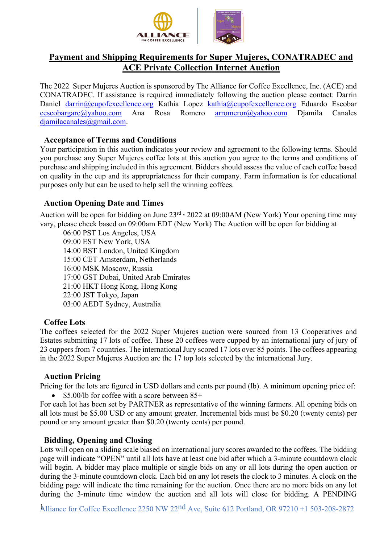

# **Payment and Shipping Requirements for Super Mujeres, CONATRADEC and ACE Private Collection Internet Auction**

The 2022 Super Mujeres Auction is sponsored by The Alliance for Coffee Excellence, Inc. (ACE) and CONATRADEC. If assistance is required immediately following the auction please contact: Darrin Daniel darrin@cupofexcellence.org Kathia Lopez kathia@cupofexcellence.org Eduardo Escobar eescobargarc@yahoo.com Ana Rosa Romero arromeror@yahoo.com Djamila Canales djamilacanales@gmail.com.

# **Acceptance of Terms and Conditions**

Your participation in this auction indicates your review and agreement to the following terms. Should you purchase any Super Mujeres coffee lots at this auction you agree to the terms and conditions of purchase and shipping included in this agreement. Bidders should assess the value of each coffee based on quality in the cup and its appropriateness for their company. Farm information is for educational purposes only but can be used to help sell the winning coffees.

# **Auction Opening Date and Times**

Auction will be open for bidding on June 23<sup>rd</sup> , 2022 at 09:00AM (New York) Your opening time may vary, please check based on 09:00am EDT (New York) The Auction will be open for bidding at

06:00 PST Los Angeles, USA 09:00 EST New York, USA 14:00 BST London, United Kingdom 15:00 CET Amsterdam, Netherlands 16:00 MSK Moscow, Russia 17:00 GST Dubai, United Arab Emirates 21:00 HKT Hong Kong, Hong Kong 22:00 JST Tokyo, Japan 03:00 AEDT Sydney, Australia

# **Coffee Lots**

The coffees selected for the 2022 Super Mujeres auction were sourced from 13 Cooperatives and Estates submitting 17 lots of coffee. These 20 coffees were cupped by an international jury of jury of 23 cuppers from 7 countries. The international Jury scored 17 lots over 85 points. The coffees appearing in the 2022 Super Mujeres Auction are the 17 top lots selected by the international Jury.

# **Auction Pricing**

Pricing for the lots are figured in USD dollars and cents per pound (lb). A minimum opening price of: • \$5.00/lb for coffee with a score between  $85+$ 

For each lot has been set by PARTNER as representative of the winning farmers. All opening bids on all lots must be \$5.00 USD or any amount greater. Incremental bids must be \$0.20 (twenty cents) per pound or any amount greater than \$0.20 (twenty cents) per pound.

# **Bidding, Opening and Closing**

Lots will open on a sliding scale biased on international jury scores awarded to the coffees. The bidding page will indicate "OPEN" until all lots have at least one bid after which a 3-minute countdown clock will begin. A bidder may place multiple or single bids on any or all lots during the open auction or during the 3-minute countdown clock. Each bid on any lot resets the clock to 3 minutes. A clock on the bidding page will indicate the time remaining for the auction. Once there are no more bids on any lot during the 3-minute time window the auction and all lots will close for bidding. A PENDING

Alliance for Coffee Excellence 2250 NW 22nd Ave, Suite 612 Portland, OR 97210 +1 503-208-2872 1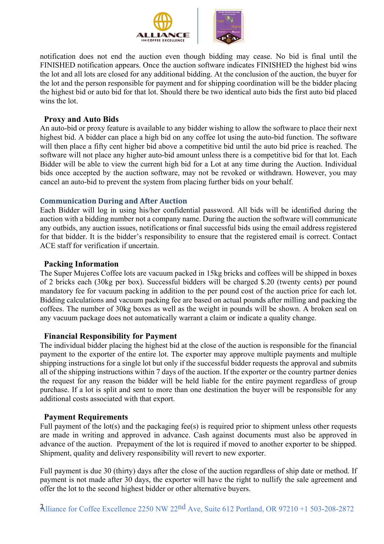

notification does not end the auction even though bidding may cease. No bid is final until the FINISHED notification appears. Once the auction software indicates FINISHED the highest bid wins the lot and all lots are closed for any additional bidding. At the conclusion of the auction, the buyer for the lot and the person responsible for payment and for shipping coordination will be the bidder placing the highest bid or auto bid for that lot. Should there be two identical auto bids the first auto bid placed wins the lot.

#### **Proxy and Auto Bids**

An auto-bid or proxy feature is available to any bidder wishing to allow the software to place their next highest bid. A bidder can place a high bid on any coffee lot using the auto-bid function. The software will then place a fifty cent higher bid above a competitive bid until the auto bid price is reached. The software will not place any higher auto-bid amount unless there is a competitive bid for that lot. Each Bidder will be able to view the current high bid for a Lot at any time during the Auction. Individual bids once accepted by the auction software, may not be revoked or withdrawn. However, you may cancel an auto-bid to prevent the system from placing further bids on your behalf.

#### **Communication During and After Auction**

Each Bidder will log in using his/her confidential password. All bids will be identified during the auction with a bidding number not a company name. During the auction the software will communicate any outbids, any auction issues, notifications or final successful bids using the email address registered for that bidder. It is the bidder's responsibility to ensure that the registered email is correct. Contact ACE staff for verification if uncertain.

#### **Packing Information**

The Super Mujeres Coffee lots are vacuum packed in 15kg bricks and coffees will be shipped in boxes of 2 bricks each (30kg per box). Successful bidders will be charged \$.20 (twenty cents) per pound mandatory fee for vacuum packing in addition to the per pound cost of the auction price for each lot. Bidding calculations and vacuum packing fee are based on actual pounds after milling and packing the coffees. The number of 30kg boxes as well as the weight in pounds will be shown. A broken seal on any vacuum package does not automatically warrant a claim or indicate a quality change.

# **Financial Responsibility for Payment**

The individual bidder placing the highest bid at the close of the auction is responsible for the financial payment to the exporter of the entire lot. The exporter may approve multiple payments and multiple shipping instructions for a single lot but only if the successful bidder requests the approval and submits all of the shipping instructions within 7 days of the auction. If the exporter or the country partner denies the request for any reason the bidder will be held liable for the entire payment regardless of group purchase. If a lot is split and sent to more than one destination the buyer will be responsible for any additional costs associated with that export.

# **Payment Requirements**

Full payment of the lot(s) and the packaging fee(s) is required prior to shipment unless other requests are made in writing and approved in advance. Cash against documents must also be approved in advance of the auction. Prepayment of the lot is required if moved to another exporter to be shipped. Shipment, quality and delivery responsibility will revert to new exporter.

Full payment is due 30 (thirty) days after the close of the auction regardless of ship date or method. If payment is not made after 30 days, the exporter will have the right to nullify the sale agreement and offer the lot to the second highest bidder or other alternative buyers.